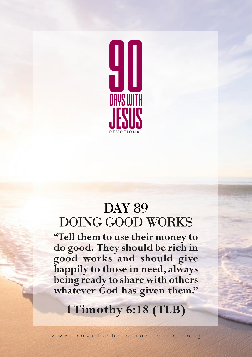

## DOING GOOD WORKS DAY 89

**"Tell them to use their money to do good. They should be rich in good works and should give happily to those in need, always being ready to share with others whatever God has given them."**

## **1 Timothy 6:18 (TLB)**

www.davidschristiancentre.org